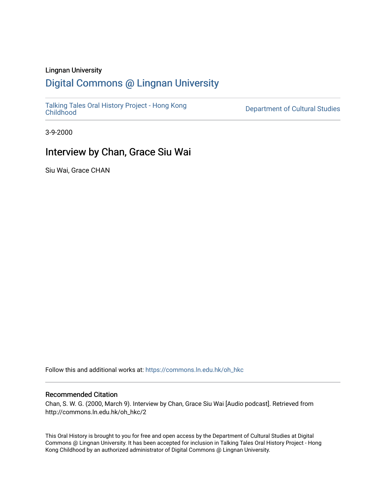### Lingnan University

# [Digital Commons @ Lingnan University](https://commons.ln.edu.hk/)

[Talking Tales Oral History Project - Hong Kong](https://commons.ln.edu.hk/oh_hkc)

Department of Cultural Studies

3-9-2000

# Interview by Chan, Grace Siu Wai

Siu Wai, Grace CHAN

Follow this and additional works at: [https://commons.ln.edu.hk/oh\\_hkc](https://commons.ln.edu.hk/oh_hkc?utm_source=commons.ln.edu.hk%2Foh_hkc%2F2&utm_medium=PDF&utm_campaign=PDFCoverPages) 

#### Recommended Citation

Chan, S. W. G. (2000, March 9). Interview by Chan, Grace Siu Wai [Audio podcast]. Retrieved from http://commons.ln.edu.hk/oh\_hkc/2

This Oral History is brought to you for free and open access by the Department of Cultural Studies at Digital Commons @ Lingnan University. It has been accepted for inclusion in Talking Tales Oral History Project - Hong Kong Childhood by an authorized administrator of Digital Commons @ Lingnan University.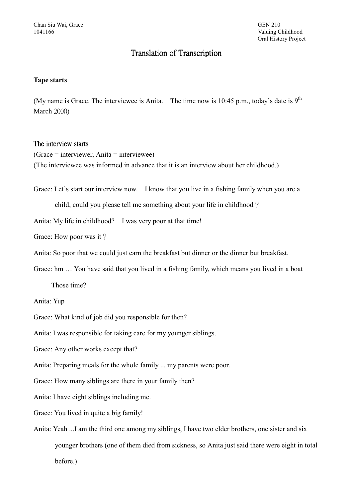# **Translation of Transcription**

## **Tape starts**

(My name is Grace. The interviewee is Anita. The time now is 10:45 p.m., today's date is  $9<sup>th</sup>$ March  $2000$ 

### The interview starts

 $(Grace = interviewer, Anita = interviewee)$ (The interviewee was informed in advance that it is an interview about her childhood.)

Grace: Let's start our interview now. I know that you live in a fishing family when you are a

child, could you please tell me something about your life in childhood?

Anita: My life in childhood? I was very poor at that time!

Grace: How poor was it?

Anita: So poor that we could just earn the breakfast but dinner or the dinner but breakfast.

Grace: hm ... You have said that you lived in a fishing family, which means you lived in a boat

Those time?

Anita: Yup

Grace: What kind of job did you responsible for then?

Anita: I was responsible for taking care for my younger siblings.

Grace: Any other works except that?

Anita: Preparing meals for the whole family ... my parents were poor.

Grace: How many siblings are there in your family then?

Anita: I have eight siblings including me.

Grace: You lived in quite a big family!

Anita: Yeah ...I am the third one among my siblings, I have two elder brothers, one sister and six younger brothers (one of them died from sickness, so Anita just said there were eight in total before.)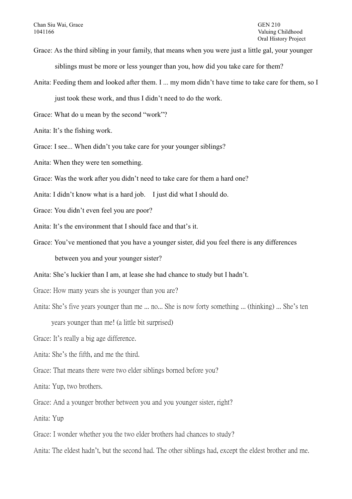- Grace: As the third sibling in your family, that means when you were just a little gal, your younger siblings must be more or less younger than you, how did you take care for them?
- Anita: Feeding them and looked after them. I ... my mom didn't have time to take care for them, so I

just took these work, and thus I didn't need to do the work.

Grace: What do u mean by the second "work"?

- Anita: It's the fishing work.
- Grace: I see... When didn't you take care for your younger siblings?

Anita: When they were ten something.

Grace: Was the work after you didn't need to take care for them a hard one?

Anita: I didn't know what is a hard job. I just did what I should do.

Grace: You didn't even feel you are poor?

Anita: It's the environment that I should face and that's it

Grace: You've mentioned that you have a younger sister, did you feel there is any differences

between you and your younger sister?

Anita: She's luckier than I am, at lease she had chance to study but I hadn't.

Grace: How many years she is younger than you are?

Anita: She's five years younger than me ... no... She is now forty something ... (thinking) ... She's ten

years younger than me! (a little bit surprised)

Grace: It's really a big age difference.

Anita: She's the fifth, and me the third.

Grace: That means there were two elder siblings borned before you?

Anita: Yup, two brothers.

Grace: And a younger brother between you and you younger sister, right?

Anita: Yup

Grace: I wonder whether you the two elder brothers had chances to study?

Anita: The eldest hadn't, but the second had. The other siblings had, except the eldest brother and me.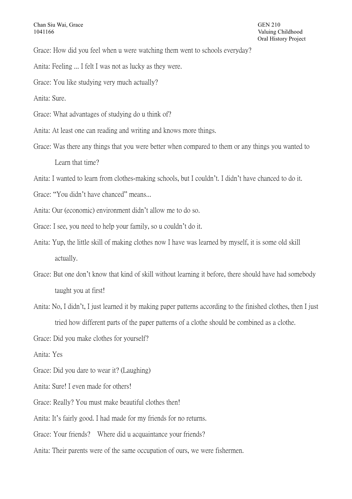Grace: How did you feel when u were watching them went to schools everyday?

- Anita: Feeling ... I felt I was not as lucky as they were.
- Grace: You like studying very much actually?

Anita: Sure.

- Grace: What advantages of studying do u think of?
- Anita: At least one can reading and writing and knows more things.
- Grace: Was there any things that you were better when compared to them or any things you wanted to Learn that time?

Anita: I wanted to learn from clothes-making schools, but I couldn't. I didn't have chanced to do it.

- Grace: "You didn't have chanced" means...
- Anita: Our (economic) environment didn't allow me to do so.
- Grace: I see, you need to help your family, so u couldn't do it.
- Anita: Yup, the little skill of making clothes now I have was learned by myself, it is some old skill actually.
- Grace: But one don't know that kind of skill without learning it before, there should have had somebody taught you at first!
- Anita: No, I didn't, I just learned it by making paper patterns according to the finished clothes, then I just tried how different parts of the paper patterns of a clothe should be combined as a clothe.

Grace: Did you make clothes for yourself?

Anita: Yes

- Grace: Did you dare to wear it? (Laughing)
- Anita: Sure! I even made for others!
- Grace: Really? You must make beautiful clothes then!

Anita: It's fairly good. I had made for my friends for no returns.

- Grace: Your friends? Where did u acquaintance your friends?
- Anita: Their parents were of the same occupation of ours, we were fishermen.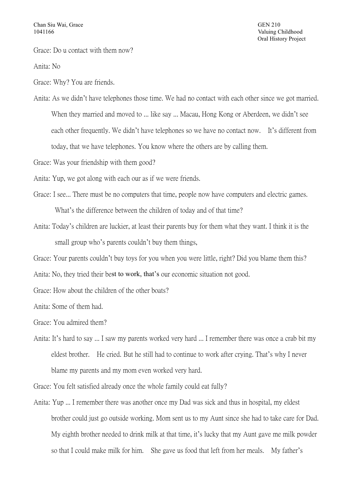Grace: Do u contact with them now?

Anita: No

Grace: Why? You are friends.

Anita: As we didn't have telephones those time. We had no contact with each other since we got married. When they married and moved to ... like say ... Macau, Hong Kong or Aberdeen, we didn't see each other frequently. We didn't have telephones so we have no contact now. It's different from today, that we have telephones. You know where the others are by calling them.

Grace: Was your friendship with them good?

Anita: Yup, we got along with each our as if we were friends.

- Grace: I see... There must be no computers that time, people now have computers and electric games. What's the difference between the children of today and of that time?
- Anita: Today's children are luckier, at least their parents buy for them what they want. I think it is the small group who's parents couldn't buy them things,

Grace: Your parents couldn't buy toys for you when you were little, right? Did you blame them this?

Anita: No, they tried their best to work, that's our economic situation not good.

Grace: How about the children of the other boats?

Anita: Some of them had.

Grace: You admired them?

Anita: It's hard to say ... I saw my parents worked very hard ... I remember there was once a crab bit my eldest brother. He cried. But he still had to continue to work after crying. That's why I never blame my parents and my mom even worked very hard.

Grace: You felt satisfied already once the whole family could eat fully?

Anita: Yup ... I remember there was another once my Dad was sick and thus in hospital, my eldest brother could just go outside working. Mom sent us to my Aunt since she had to take care for Dad. My eighth brother needed to drink milk at that time, it's lucky that my Aunt gave me milk powder so that I could make milk for him. She gave us food that left from her meals. My father's